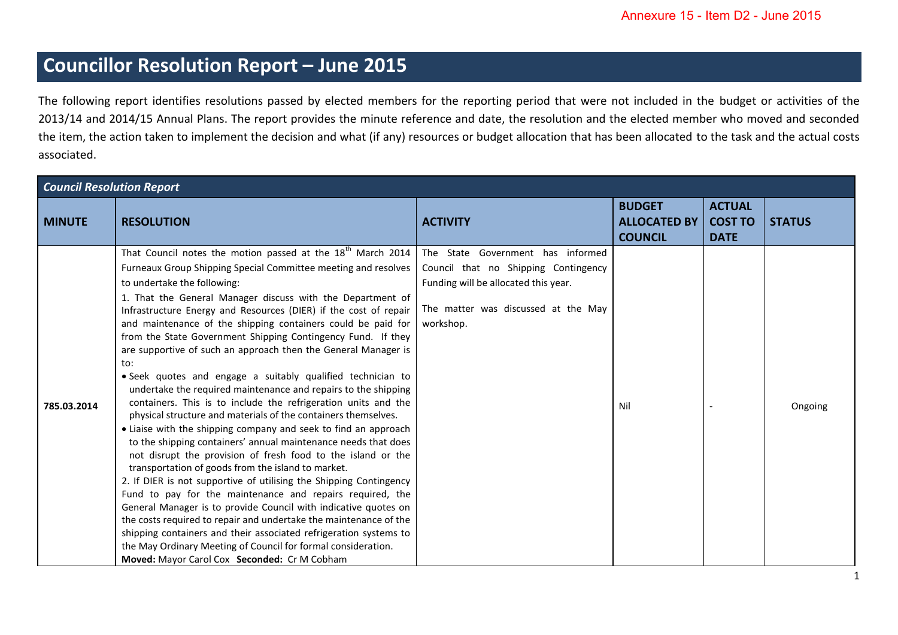## **Councillor Resolution Report – June 2015**

The following report identifies resolutions passed by elected members for the reporting period that were not included in the budget or activities of the 2013/14 and 2014/15 Annual Plans. The report provides the minute reference and date, the resolution and the elected member who moved and seconded the item, the action taken to implement the decision and what (if any) resources or budget allocation that has been allocated to the task and the actual costs associated.

| <b>Council Resolution Report</b> |                                                                                                                                                                                                                                                                                                                                                                                                                                                                                                                                                                                                                                                                                                                                                                                                                                                                                                                                                                                                                                                                                                                                                                                                                                                                                                                                                                                                                                                                                                                      |                                                                                                                                                                       |                                                        |                                                |               |  |
|----------------------------------|----------------------------------------------------------------------------------------------------------------------------------------------------------------------------------------------------------------------------------------------------------------------------------------------------------------------------------------------------------------------------------------------------------------------------------------------------------------------------------------------------------------------------------------------------------------------------------------------------------------------------------------------------------------------------------------------------------------------------------------------------------------------------------------------------------------------------------------------------------------------------------------------------------------------------------------------------------------------------------------------------------------------------------------------------------------------------------------------------------------------------------------------------------------------------------------------------------------------------------------------------------------------------------------------------------------------------------------------------------------------------------------------------------------------------------------------------------------------------------------------------------------------|-----------------------------------------------------------------------------------------------------------------------------------------------------------------------|--------------------------------------------------------|------------------------------------------------|---------------|--|
| <b>MINUTE</b>                    | <b>RESOLUTION</b>                                                                                                                                                                                                                                                                                                                                                                                                                                                                                                                                                                                                                                                                                                                                                                                                                                                                                                                                                                                                                                                                                                                                                                                                                                                                                                                                                                                                                                                                                                    | <b>ACTIVITY</b>                                                                                                                                                       | <b>BUDGET</b><br><b>ALLOCATED BY</b><br><b>COUNCIL</b> | <b>ACTUAL</b><br><b>COST TO</b><br><b>DATE</b> | <b>STATUS</b> |  |
| 785.03.2014                      | That Council notes the motion passed at the 18 <sup>th</sup> March 2014<br>Furneaux Group Shipping Special Committee meeting and resolves<br>to undertake the following:<br>1. That the General Manager discuss with the Department of<br>Infrastructure Energy and Resources (DIER) if the cost of repair<br>and maintenance of the shipping containers could be paid for<br>from the State Government Shipping Contingency Fund. If they<br>are supportive of such an approach then the General Manager is<br>to:<br>· Seek quotes and engage a suitably qualified technician to<br>undertake the required maintenance and repairs to the shipping<br>containers. This is to include the refrigeration units and the<br>physical structure and materials of the containers themselves.<br>• Liaise with the shipping company and seek to find an approach<br>to the shipping containers' annual maintenance needs that does<br>not disrupt the provision of fresh food to the island or the<br>transportation of goods from the island to market.<br>2. If DIER is not supportive of utilising the Shipping Contingency<br>Fund to pay for the maintenance and repairs required, the<br>General Manager is to provide Council with indicative quotes on<br>the costs required to repair and undertake the maintenance of the<br>shipping containers and their associated refrigeration systems to<br>the May Ordinary Meeting of Council for formal consideration.<br>Moved: Mayor Carol Cox Seconded: Cr M Cobham | The State Government has informed<br>Council that no Shipping Contingency<br>Funding will be allocated this year.<br>The matter was discussed at the May<br>workshop. | Nil                                                    |                                                | Ongoing       |  |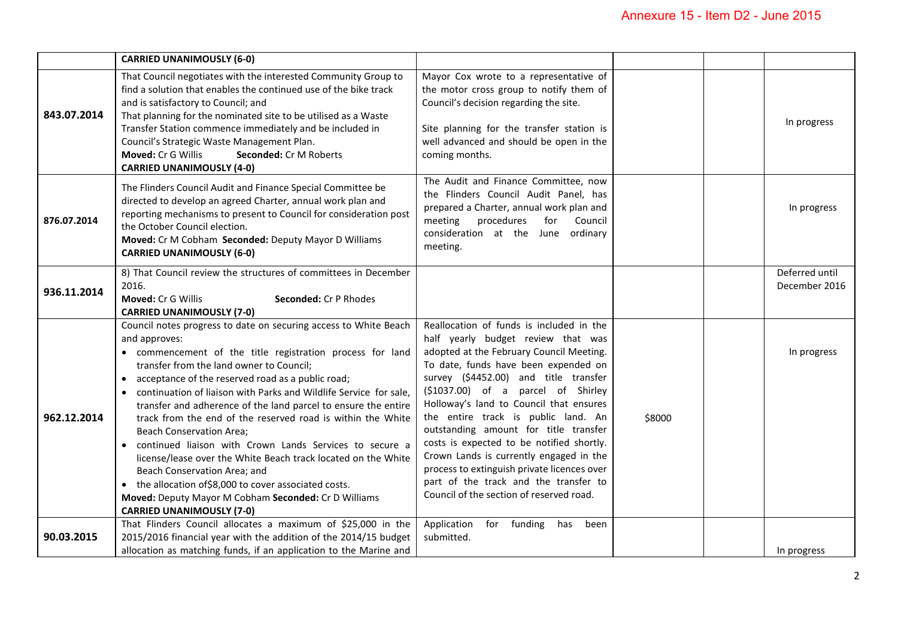|             | <b>CARRIED UNANIMOUSLY (6-0)</b>                                                                                                                                                                                                                                                                                                                                                                                                                                                                                                                                                                                                                                                                                                                                                                                 |                                                                                                                                                                                                                                                                                                                                                                                                                                                                                                                                                                                                          |        |                                 |
|-------------|------------------------------------------------------------------------------------------------------------------------------------------------------------------------------------------------------------------------------------------------------------------------------------------------------------------------------------------------------------------------------------------------------------------------------------------------------------------------------------------------------------------------------------------------------------------------------------------------------------------------------------------------------------------------------------------------------------------------------------------------------------------------------------------------------------------|----------------------------------------------------------------------------------------------------------------------------------------------------------------------------------------------------------------------------------------------------------------------------------------------------------------------------------------------------------------------------------------------------------------------------------------------------------------------------------------------------------------------------------------------------------------------------------------------------------|--------|---------------------------------|
| 843.07.2014 | That Council negotiates with the interested Community Group to<br>find a solution that enables the continued use of the bike track<br>and is satisfactory to Council; and<br>That planning for the nominated site to be utilised as a Waste<br>Transfer Station commence immediately and be included in<br>Council's Strategic Waste Management Plan.<br>Moved: Cr G Willis<br>Seconded: Cr M Roberts<br><b>CARRIED UNANIMOUSLY (4-0)</b>                                                                                                                                                                                                                                                                                                                                                                        | Mayor Cox wrote to a representative of<br>the motor cross group to notify them of<br>Council's decision regarding the site.<br>Site planning for the transfer station is<br>well advanced and should be open in the<br>coming months.                                                                                                                                                                                                                                                                                                                                                                    |        | In progress                     |
| 876.07.2014 | The Flinders Council Audit and Finance Special Committee be<br>directed to develop an agreed Charter, annual work plan and<br>reporting mechanisms to present to Council for consideration post<br>the October Council election.<br>Moved: Cr M Cobham Seconded: Deputy Mayor D Williams<br><b>CARRIED UNANIMOUSLY (6-0)</b>                                                                                                                                                                                                                                                                                                                                                                                                                                                                                     | The Audit and Finance Committee, now<br>the Flinders Council Audit Panel, has<br>prepared a Charter, annual work plan and<br>procedures<br>meeting<br>for<br>Council<br>consideration at the June ordinary<br>meeting.                                                                                                                                                                                                                                                                                                                                                                                   |        | In progress                     |
| 936.11.2014 | 8) That Council review the structures of committees in December<br>2016.<br>Moved: Cr G Willis<br>Seconded: Cr P Rhodes<br><b>CARRIED UNANIMOUSLY (7-0)</b>                                                                                                                                                                                                                                                                                                                                                                                                                                                                                                                                                                                                                                                      |                                                                                                                                                                                                                                                                                                                                                                                                                                                                                                                                                                                                          |        | Deferred until<br>December 2016 |
| 962.12.2014 | Council notes progress to date on securing access to White Beach<br>and approves:<br>• commencement of the title registration process for land<br>transfer from the land owner to Council;<br>• acceptance of the reserved road as a public road;<br>• continuation of liaison with Parks and Wildlife Service for sale,<br>transfer and adherence of the land parcel to ensure the entire<br>track from the end of the reserved road is within the White<br><b>Beach Conservation Area;</b><br>• continued liaison with Crown Lands Services to secure a<br>license/lease over the White Beach track located on the White<br>Beach Conservation Area; and<br>• the allocation of \$8,000 to cover associated costs.<br>Moved: Deputy Mayor M Cobham Seconded: Cr D Williams<br><b>CARRIED UNANIMOUSLY (7-0)</b> | Reallocation of funds is included in the<br>half yearly budget review that was<br>adopted at the February Council Meeting.<br>To date, funds have been expended on<br>survey (\$4452.00) and title transfer<br>(\$1037.00) of a parcel of Shirley<br>Holloway's land to Council that ensures<br>the entire track is public land. An<br>outstanding amount for title transfer<br>costs is expected to be notified shortly.<br>Crown Lands is currently engaged in the<br>process to extinguish private licences over<br>part of the track and the transfer to<br>Council of the section of reserved road. | \$8000 | In progress                     |
| 90.03.2015  | That Flinders Council allocates a maximum of \$25,000 in the<br>2015/2016 financial year with the addition of the 2014/15 budget<br>allocation as matching funds, if an application to the Marine and                                                                                                                                                                                                                                                                                                                                                                                                                                                                                                                                                                                                            | Application<br>for funding<br>has<br>been<br>submitted.                                                                                                                                                                                                                                                                                                                                                                                                                                                                                                                                                  |        | In progress                     |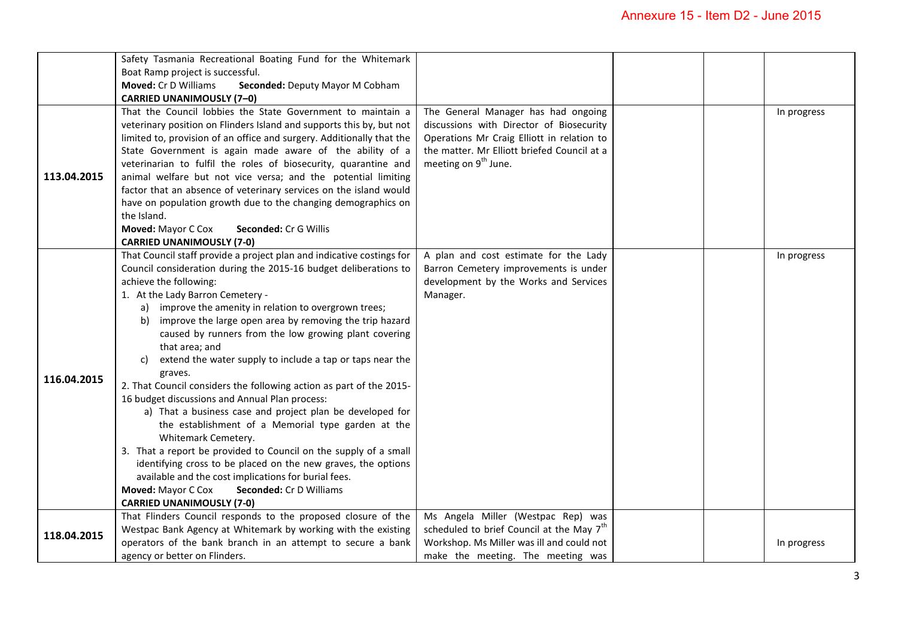|             | Safety Tasmania Recreational Boating Fund for the Whitemark           |                                                       |  |             |
|-------------|-----------------------------------------------------------------------|-------------------------------------------------------|--|-------------|
|             | Boat Ramp project is successful.                                      |                                                       |  |             |
|             | Moved: Cr D Williams<br>Seconded: Deputy Mayor M Cobham               |                                                       |  |             |
|             | <b>CARRIED UNANIMOUSLY (7-0)</b>                                      |                                                       |  |             |
|             | That the Council lobbies the State Government to maintain a           | The General Manager has had ongoing                   |  | In progress |
|             | veterinary position on Flinders Island and supports this by, but not  | discussions with Director of Biosecurity              |  |             |
|             | limited to, provision of an office and surgery. Additionally that the | Operations Mr Craig Elliott in relation to            |  |             |
|             | State Government is again made aware of the ability of a              | the matter. Mr Elliott briefed Council at a           |  |             |
|             | veterinarian to fulfil the roles of biosecurity, quarantine and       | meeting on 9 <sup>th</sup> June.                      |  |             |
| 113.04.2015 | animal welfare but not vice versa; and the potential limiting         |                                                       |  |             |
|             | factor that an absence of veterinary services on the island would     |                                                       |  |             |
|             | have on population growth due to the changing demographics on         |                                                       |  |             |
|             | the Island.                                                           |                                                       |  |             |
|             | Moved: Mayor C Cox<br>Seconded: Cr G Willis                           |                                                       |  |             |
|             | <b>CARRIED UNANIMOUSLY (7-0)</b>                                      |                                                       |  |             |
|             | That Council staff provide a project plan and indicative costings for | A plan and cost estimate for the Lady                 |  | In progress |
|             | Council consideration during the 2015-16 budget deliberations to      | Barron Cemetery improvements is under                 |  |             |
|             | achieve the following:                                                | development by the Works and Services                 |  |             |
|             | 1. At the Lady Barron Cemetery -                                      | Manager.                                              |  |             |
|             | a) improve the amenity in relation to overgrown trees;                |                                                       |  |             |
|             | improve the large open area by removing the trip hazard<br>b)         |                                                       |  |             |
|             | caused by runners from the low growing plant covering                 |                                                       |  |             |
|             | that area; and                                                        |                                                       |  |             |
|             | extend the water supply to include a tap or taps near the<br>C)       |                                                       |  |             |
| 116.04.2015 | graves.                                                               |                                                       |  |             |
|             | 2. That Council considers the following action as part of the 2015-   |                                                       |  |             |
|             | 16 budget discussions and Annual Plan process:                        |                                                       |  |             |
|             | a) That a business case and project plan be developed for             |                                                       |  |             |
|             | the establishment of a Memorial type garden at the                    |                                                       |  |             |
|             | Whitemark Cemetery.                                                   |                                                       |  |             |
|             | 3. That a report be provided to Council on the supply of a small      |                                                       |  |             |
|             | identifying cross to be placed on the new graves, the options         |                                                       |  |             |
|             | available and the cost implications for burial fees.                  |                                                       |  |             |
|             | Moved: Mayor C Cox<br><b>Seconded: Cr D Williams</b>                  |                                                       |  |             |
|             | <b>CARRIED UNANIMOUSLY (7-0)</b>                                      |                                                       |  |             |
| 118.04.2015 | That Flinders Council responds to the proposed closure of the         | Ms Angela Miller (Westpac Rep) was                    |  |             |
|             | Westpac Bank Agency at Whitemark by working with the existing         | scheduled to brief Council at the May 7 <sup>th</sup> |  |             |
|             | operators of the bank branch in an attempt to secure a bank           | Workshop. Ms Miller was ill and could not             |  | In progress |
|             | agency or better on Flinders.                                         | make the meeting. The meeting was                     |  |             |